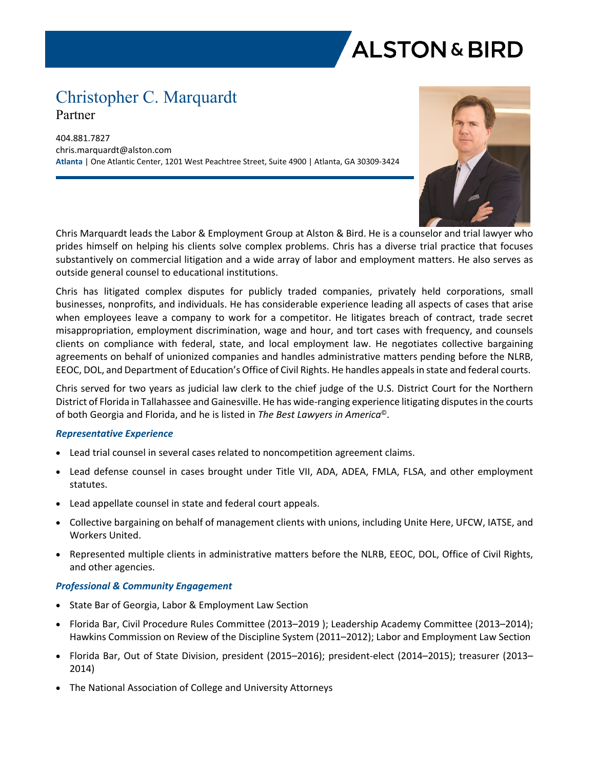

# Christopher C. Marquardt Partner

404.881.7827 chris.marquardt@alston.com **Atlanta** | One Atlantic Center, 1201 West Peachtree Street, Suite 4900 | Atlanta, GA 30309-3424



Chris Marquardt leads the Labor & Employment Group at Alston & Bird. He is a counselor and trial lawyer who prides himself on helping his clients solve complex problems. Chris has a diverse trial practice that focuses substantively on commercial litigation and a wide array of labor and employment matters. He also serves as outside general counsel to educational institutions.

Chris has litigated complex disputes for publicly traded companies, privately held corporations, small businesses, nonprofits, and individuals. He has considerable experience leading all aspects of cases that arise when employees leave a company to work for a competitor. He litigates breach of contract, trade secret misappropriation, employment discrimination, wage and hour, and tort cases with frequency, and counsels clients on compliance with federal, state, and local employment law. He negotiates collective bargaining agreements on behalf of unionized companies and handles administrative matters pending before the NLRB, EEOC, DOL, and Department of Education's Office of Civil Rights. He handles appeals in state and federal courts.

Chris served for two years as judicial law clerk to the chief judge of the U.S. District Court for the Northern District of Florida in Tallahassee and Gainesville. He has wide-ranging experience litigating disputes in the courts of both Georgia and Florida, and he is listed in *The Best Lawyers in America*©.

#### *Representative Experience*

- Lead trial counsel in several cases related to noncompetition agreement claims.
- Lead defense counsel in cases brought under Title VII, ADA, ADEA, FMLA, FLSA, and other employment statutes.
- Lead appellate counsel in state and federal court appeals.
- Collective bargaining on behalf of management clients with unions, including Unite Here, UFCW, IATSE, and Workers United.
- Represented multiple clients in administrative matters before the NLRB, EEOC, DOL, Office of Civil Rights, and other agencies.

#### *Professional & Community Engagement*

- State Bar of Georgia, Labor & Employment Law Section
- Florida Bar, Civil Procedure Rules Committee (2013–2019 ); Leadership Academy Committee (2013–2014); Hawkins Commission on Review of the Discipline System (2011–2012); Labor and Employment Law Section
- Florida Bar, Out of State Division, president (2015–2016); president-elect (2014–2015); treasurer (2013– 2014)
- The National Association of College and University Attorneys